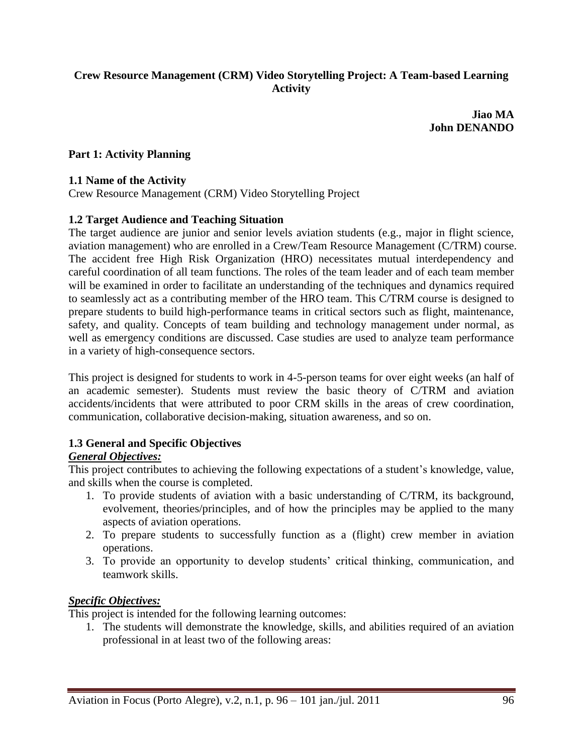### **Crew Resource Management (CRM) Video Storytelling Project: A Team-based Learning Activity**

**Jiao MA John DENANDO**

#### **Part 1: Activity Planning**

#### **1.1 Name of the Activity**

Crew Resource Management (CRM) Video Storytelling Project

#### **1.2 Target Audience and Teaching Situation**

The target audience are junior and senior levels aviation students (e.g., major in flight science, aviation management) who are enrolled in a Crew/Team Resource Management (C/TRM) course. The accident free High Risk Organization (HRO) necessitates mutual interdependency and careful coordination of all team functions. The roles of the team leader and of each team member will be examined in order to facilitate an understanding of the techniques and dynamics required to seamlessly act as a contributing member of the HRO team. This C/TRM course is designed to prepare students to build high-performance teams in critical sectors such as flight, maintenance, safety, and quality. Concepts of team building and technology management under normal, as well as emergency conditions are discussed. Case studies are used to analyze team performance in a variety of high-consequence sectors.

This project is designed for students to work in 4-5-person teams for over eight weeks (an half of an academic semester). Students must review the basic theory of C/TRM and aviation accidents/incidents that were attributed to poor CRM skills in the areas of crew coordination, communication, collaborative decision-making, situation awareness, and so on.

#### **1.3 General and Specific Objectives**

# *General Objectives:*

This project contributes to achieving the following expectations of a student's knowledge, value, and skills when the course is completed.

- 1. To provide students of aviation with a basic understanding of C/TRM, its background, evolvement, theories/principles, and of how the principles may be applied to the many aspects of aviation operations.
- 2. To prepare students to successfully function as a (flight) crew member in aviation operations.
- 3. To provide an opportunity to develop students' critical thinking, communication, and teamwork skills.

#### *Specific Objectives:*

This project is intended for the following learning outcomes:

1. The students will demonstrate the knowledge, skills, and abilities required of an aviation professional in at least two of the following areas: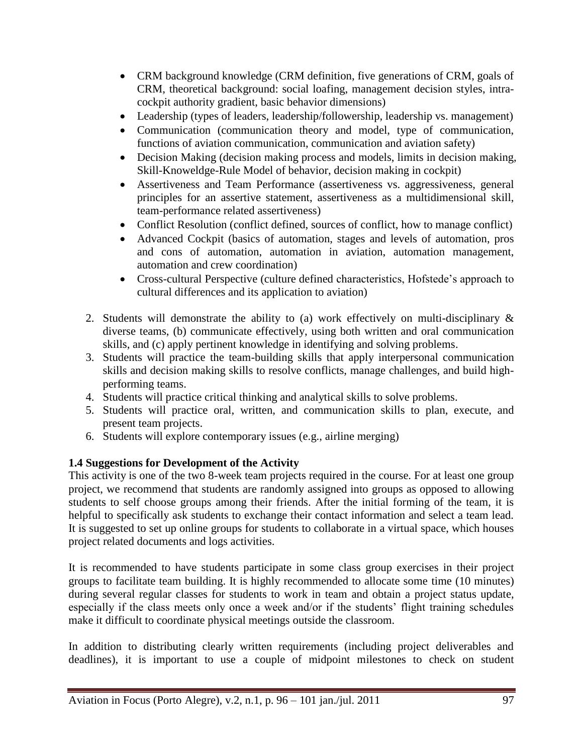- CRM background knowledge (CRM definition, five generations of CRM, goals of CRM, theoretical background: social loafing, management decision styles, intracockpit authority gradient, basic behavior dimensions)
- Leadership (types of leaders, leadership/followership, leadership vs. management)
- Communication (communication theory and model, type of communication, functions of aviation communication, communication and aviation safety)
- Decision Making (decision making process and models, limits in decision making, Skill-Knoweldge-Rule Model of behavior, decision making in cockpit)
- Assertiveness and Team Performance (assertiveness vs. aggressiveness, general principles for an assertive statement, assertiveness as a multidimensional skill, team-performance related assertiveness)
- Conflict Resolution (conflict defined, sources of conflict, how to manage conflict)
- Advanced Cockpit (basics of automation, stages and levels of automation, pros and cons of automation, automation in aviation, automation management, automation and crew coordination)
- Cross-cultural Perspective (culture defined characteristics, Hofstede's approach to cultural differences and its application to aviation)
- 2. Students will demonstrate the ability to (a) work effectively on multi-disciplinary  $\&$ diverse teams, (b) communicate effectively, using both written and oral communication skills, and (c) apply pertinent knowledge in identifying and solving problems.
- 3. Students will practice the team-building skills that apply interpersonal communication skills and decision making skills to resolve conflicts, manage challenges, and build highperforming teams.
- 4. Students will practice critical thinking and analytical skills to solve problems.
- 5. Students will practice oral, written, and communication skills to plan, execute, and present team projects.
- 6. Students will explore contemporary issues (e.g., airline merging)

### **1.4 Suggestions for Development of the Activity**

This activity is one of the two 8-week team projects required in the course. For at least one group project, we recommend that students are randomly assigned into groups as opposed to allowing students to self choose groups among their friends. After the initial forming of the team, it is helpful to specifically ask students to exchange their contact information and select a team lead. It is suggested to set up online groups for students to collaborate in a virtual space, which houses project related documents and logs activities.

It is recommended to have students participate in some class group exercises in their project groups to facilitate team building. It is highly recommended to allocate some time (10 minutes) during several regular classes for students to work in team and obtain a project status update, especially if the class meets only once a week and/or if the students' flight training schedules make it difficult to coordinate physical meetings outside the classroom.

In addition to distributing clearly written requirements (including project deliverables and deadlines), it is important to use a couple of midpoint milestones to check on student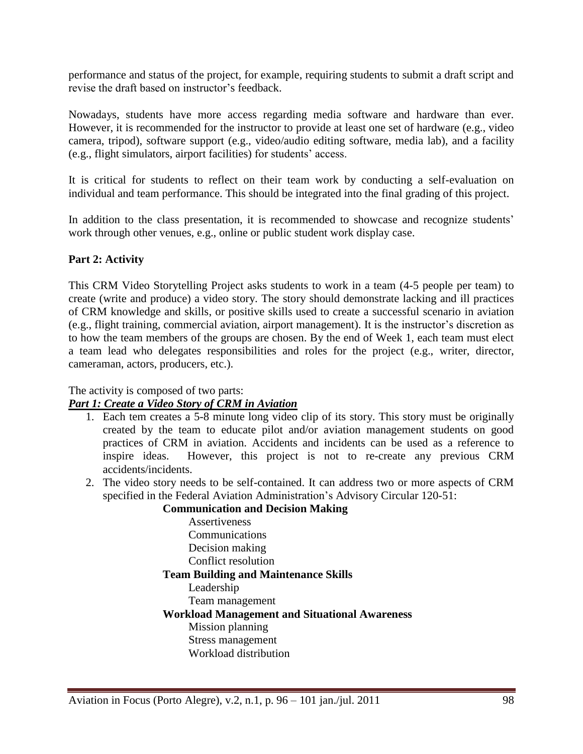performance and status of the project, for example, requiring students to submit a draft script and revise the draft based on instructor's feedback.

Nowadays, students have more access regarding media software and hardware than ever. However, it is recommended for the instructor to provide at least one set of hardware (e.g., video camera, tripod), software support (e.g., video/audio editing software, media lab), and a facility (e.g., flight simulators, airport facilities) for students' access.

It is critical for students to reflect on their team work by conducting a self-evaluation on individual and team performance. This should be integrated into the final grading of this project.

In addition to the class presentation, it is recommended to showcase and recognize students' work through other venues, e.g., online or public student work display case.

### **Part 2: Activity**

This CRM Video Storytelling Project asks students to work in a team (4-5 people per team) to create (write and produce) a video story. The story should demonstrate lacking and ill practices of CRM knowledge and skills, or positive skills used to create a successful scenario in aviation (e.g., flight training, commercial aviation, airport management). It is the instructor's discretion as to how the team members of the groups are chosen. By the end of Week 1, each team must elect a team lead who delegates responsibilities and roles for the project (e.g., writer, director, cameraman, actors, producers, etc.).

The activity is composed of two parts:

### *Part 1: Create a Video Story of CRM in Aviation*

- 1. Each tem creates a 5-8 minute long video clip of its story. This story must be originally created by the team to educate pilot and/or aviation management students on good practices of CRM in aviation. Accidents and incidents can be used as a reference to inspire ideas. However, this project is not to re-create any previous CRM accidents/incidents.
- 2. The video story needs to be self-contained. It can address two or more aspects of CRM specified in the Federal Aviation Administration's Advisory Circular 120-51:

**Communication and Decision Making**

Assertiveness Communications Decision making Conflict resolution **Team Building and Maintenance Skills** Leadership Team management **Workload Management and Situational Awareness** Mission planning Stress management Workload distribution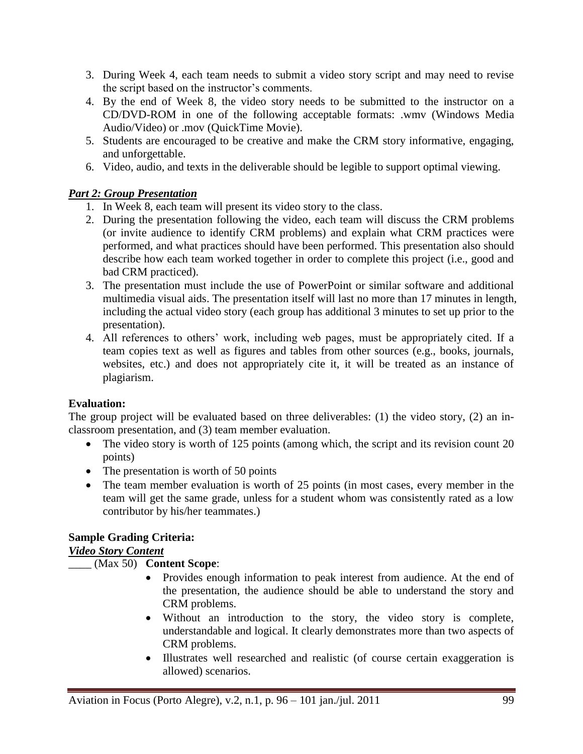- 3. During Week 4, each team needs to submit a video story script and may need to revise the script based on the instructor's comments.
- 4. By the end of Week 8, the video story needs to be submitted to the instructor on a CD/DVD-ROM in one of the following acceptable formats: .wmv (Windows Media Audio/Video) or .mov (QuickTime Movie).
- 5. Students are encouraged to be creative and make the CRM story informative, engaging, and unforgettable.
- 6. Video, audio, and texts in the deliverable should be legible to support optimal viewing.

# *Part 2: Group Presentation*

- 1. In Week 8, each team will present its video story to the class.
- 2. During the presentation following the video, each team will discuss the CRM problems (or invite audience to identify CRM problems) and explain what CRM practices were performed, and what practices should have been performed. This presentation also should describe how each team worked together in order to complete this project (i.e., good and bad CRM practiced).
- 3. The presentation must include the use of PowerPoint or similar software and additional multimedia visual aids. The presentation itself will last no more than 17 minutes in length, including the actual video story (each group has additional 3 minutes to set up prior to the presentation).
- 4. All references to others' work, including web pages, must be appropriately cited. If a team copies text as well as figures and tables from other sources (e.g., books, journals, websites, etc.) and does not appropriately cite it, it will be treated as an instance of plagiarism.

## **Evaluation:**

The group project will be evaluated based on three deliverables: (1) the video story, (2) an inclassroom presentation, and (3) team member evaluation.

- The video story is worth of 125 points (among which, the script and its revision count 20 points)
- The presentation is worth of 50 points
- The team member evaluation is worth of 25 points (in most cases, every member in the team will get the same grade, unless for a student whom was consistently rated as a low contributor by his/her teammates.)

# **Sample Grading Criteria:**

## *Video Story Content*

## \_\_\_\_ (Max 50) **Content Scope**:

- Provides enough information to peak interest from audience. At the end of the presentation, the audience should be able to understand the story and CRM problems.
- Without an introduction to the story, the video story is complete, understandable and logical. It clearly demonstrates more than two aspects of CRM problems.
- Illustrates well researched and realistic (of course certain exaggeration is allowed) scenarios.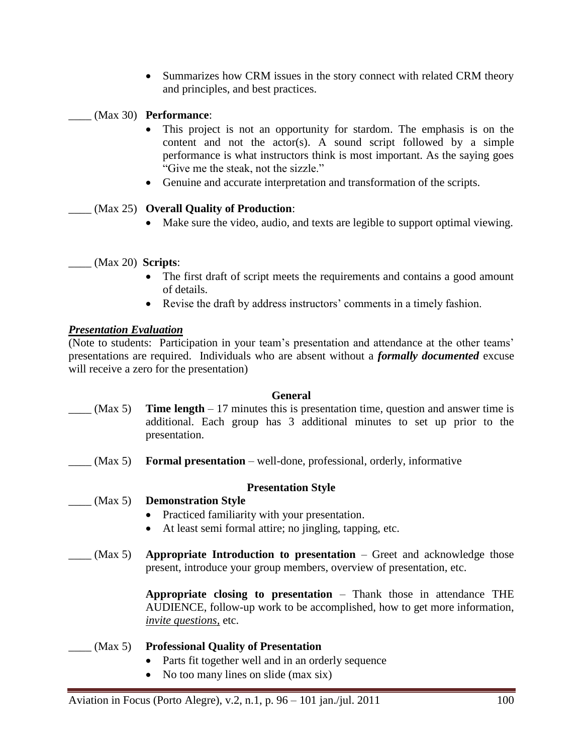• Summarizes how CRM issues in the story connect with related CRM theory and principles, and best practices.

\_\_\_\_ (Max 30) **Performance**:

- This project is not an opportunity for stardom. The emphasis is on the content and not the actor(s). A sound script followed by a simple performance is what instructors think is most important. As the saying goes "Give me the steak, not the sizzle."
- Genuine and accurate interpretation and transformation of the scripts.

### \_\_\_\_ (Max 25) **Overall Quality of Production**:

Make sure the video, audio, and texts are legible to support optimal viewing.

### \_\_\_\_ (Max 20) **Scripts**:

- The first draft of script meets the requirements and contains a good amount of details.
- Revise the draft by address instructors' comments in a timely fashion.

### *Presentation Evaluation*

(Note to students: Participation in your team's presentation and attendance at the other teams' presentations are required. Individuals who are absent without a *formally documented* excuse will receive a zero for the presentation)

#### **General**

- $(Max 5)$  **Time length** 17 minutes this is presentation time, question and answer time is additional. Each group has 3 additional minutes to set up prior to the presentation.
- (Max 5) **Formal presentation** well-done, professional, orderly, informative

## **Presentation Style**

## \_\_\_\_ (Max 5) **Demonstration Style**

- Practiced familiarity with your presentation.
- At least semi formal attire; no jingling, tapping, etc.
- \_\_\_\_ (Max 5) **Appropriate Introduction to presentation** Greet and acknowledge those present, introduce your group members, overview of presentation, etc.

**Appropriate closing to presentation** – Thank those in attendance THE AUDIENCE, follow-up work to be accomplished, how to get more information, *invite questions,* etc.

#### \_\_\_\_ (Max 5) **Professional Quality of Presentation**

- Parts fit together well and in an orderly sequence
- No too many lines on slide (max six)